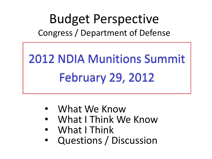#### Budget Perspective Congress / Department of Defense

# 2012 NDIA Munitions Summit February 29, 2012

- What We Know
- What I Think We Know
- What I Think
- Questions / Discussion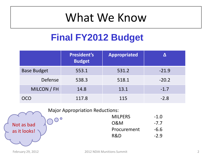#### **Final FY2012 Budget**

|                    | <b>President's</b><br><b>Budget</b> | <b>Appropriated</b> |         |
|--------------------|-------------------------------------|---------------------|---------|
| <b>Base Budget</b> | 553.1                               | 531.2               | $-21.9$ |
| Defense            | 538.3                               | 518.1               | $-20.2$ |
| MILCON / FH        | 14.8                                | 13.1                | $-1.7$  |
| OCO                | 117.8                               | 115                 | $-2.8$  |

#### Major Appropriation Reductions:

| <b>MILPERS</b> | $-1.0$ |
|----------------|--------|
| 0&M            | $-7.7$ |
| Procurement    | $-6.6$ |
| R&D            | $-2.9$ |
|                |        |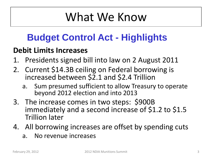#### **Budget Control Act - Highlights**

#### **Debit Limits Increases**

- 1. Presidents signed bill into law on 2 August 2011
- 2. Current \$14.3B ceiling on Federal borrowing is increased between \$2.1 and \$2.4 Trillion
	- a. Sum presumed sufficient to allow Treasury to operate beyond 2012 election and into 2013
- 3. The increase comes in two steps: \$900B immediately and a second increase of \$1.2 to \$1.5 Trillion later
- 4. All borrowing increases are offset by spending cuts
	- a. No revenue increases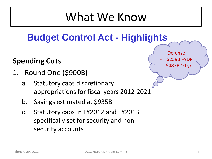#### **Budget Control Act - Highlights**

#### **Spending Cuts**

- 1. Round One (\$900B)
	- a. Statutory caps discretionary appropriations for fiscal years 2012-2021
	- b. Savings estimated at \$935B
	- c. Statutory caps in FY2012 and FY2013 specifically set for security and nonsecurity accounts

Defense **\$259B FYDP** \$487B 10 yrs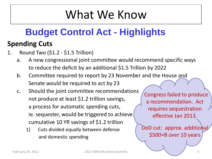#### **Budget Control Act - Highlights**

#### **Spending Cuts**

- 1. Round Two (\$1.2 \$1.5 Trillion)
	- a. A new congressional joint committee would recommend specific ways to reduce the deficit by an additional \$1.5 Trillion by 2022
	- b. Committee required to report by 23 November and the House and Senate would be required to act by 23
	- c. Should the joint committee recommendations not produce at least \$1.2 trillion savings, a process for automatic spending cuts, ie. sequester, would be triggered to achieve cumulative 10 YR savings of \$1.2 trillion
		- 1) Cuts divided equally between defense and domestic spending

Congress failed to produce a recommendation. Act requires sequestration effective Jan 2013.

DoD cut: approx. additional \$500+B over 10 years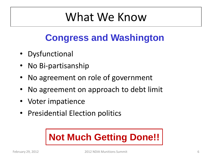#### **Congress and Washington**

- Dysfunctional
- No Bi-partisanship
- No agreement on role of government
- No agreement on approach to debt limit
- Voter impatience
- Presidential Election politics

#### **Not Much Getting Done!!**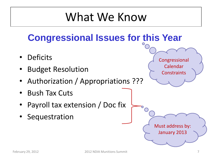#### **Congressional Issues for this Year**

- **Deficits**
- Budget Resolution
- Authorization / Appropriations ???
- Bush Tax Cuts
- Payroll tax extension / Doc fix
- Sequestration

Congressional

Calendar

**Constraints** 

Must address by:

January 2013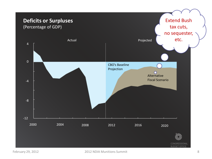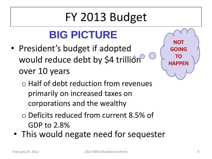### FY 2013 Budget

#### **BIG PICTURE**

• President's budget if adopted would reduce debt by \$4 trillion over 10 years



- o Half of debt reduction from revenues primarily on increased taxes on corporations and the wealthy
- o Deficits reduced from current 8.5% of GDP to 2.8%
- This would negate need for sequester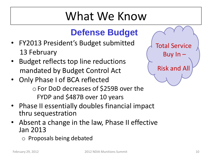#### **Defense Budget**

- FY2013 President's Budget submitted 13 February
- Budget reflects top line reductions mandated by Budget Control Act
- Only Phase I of BCA reflected oFor DoD decreases of \$259B over the FYDP and \$487B over 10 years
- Phase II essentially doubles financial impact thru sequestration
- Absent a change in the law, Phase II effective Jan 2013
	- o Proposals being debated

| <b>Total Service</b> |  |
|----------------------|--|
| Buy $In -$           |  |
| <b>Risk and All</b>  |  |
|                      |  |
|                      |  |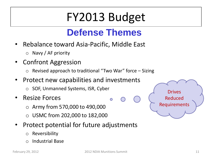### FY2013 Budget

#### **Defense Themes**

- Rebalance toward Asia-Pacific, Middle East
	- o Navy / AF priority
- Confront Aggression
	- $\circ$  Revised approach to traditional "Two War" force Sizing
- Protect new capabilities and investments
	- o SOF, Unmanned Systems, ISR, Cyber
- Resize Forces
	- o Army from 570,000 to 490,000
	- $\circ$  USMC from 202,000 to 182,000
- Protect potential for future adjustments
	- o Reversibility
	- o Industrial Base

 $\bullet$ 

Drives

Reduced

Requirements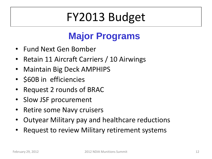### FY2013 Budget

#### **Major Programs**

- Fund Next Gen Bomber
- Retain 11 Aircraft Carriers / 10 Airwings
- Maintain Big Deck AMPHIPS
- \$60B in efficiencies
- Request 2 rounds of BRAC
- Slow JSF procurement
- Retire some Navy cruisers
- Outyear Military pay and healthcare reductions
- Request to review Military retirement systems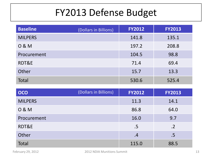#### FY2013 Defense Budget

| <b>Baseline</b> | (Dollars in Billions) | <b>FY2012</b> | <b>FY2013</b> |
|-----------------|-----------------------|---------------|---------------|
| <b>MILPERS</b>  |                       | 141.8         | 135.1         |
| 0 & M           |                       | 197.2         | 208.8         |
| Procurement     |                       | 104.5         | 98.8          |
| RDT&E           |                       | 71.4          | 69.4          |
| Other           |                       | 15.7          | 13.3          |
| <b>Total</b>    |                       | 530.6         | 525.4         |

| <b>OCO</b>     | (Dollars in Billions) | <b>FY2012</b> | <b>FY2013</b> |
|----------------|-----------------------|---------------|---------------|
| <b>MILPERS</b> |                       | 11.3          | 14.1          |
| 0 & M          |                       | 86.8          | 64.0          |
| Procurement    |                       | 16.0          | 9.7           |
| RDT&E          |                       | .5            | $\cdot$ .2    |
| Other          |                       | .4            | .5            |
| <b>Total</b>   |                       | 115.0         | 88.5          |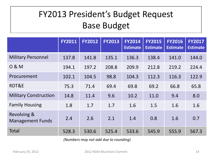#### FY2013 President's Budget Request Base Budget

|                                        | <b>FY2011</b> | <b>FY2012</b> | <b>FY2013</b> | <b>FY2014</b><br><b>Estimate</b> | <b>FY2015</b><br><b>Estimate</b> | <b>FY2016</b><br><b>Estimate</b> | <b>FY2017</b><br><b>Estimate</b> |
|----------------------------------------|---------------|---------------|---------------|----------------------------------|----------------------------------|----------------------------------|----------------------------------|
| <b>Military Personnel</b>              | 137.8         | 141.8         | 135.1         | 136.3                            | 138.4                            | 141.0                            | 144.0                            |
| 0 & M                                  | 194.1         | 197.2         | 208.8         | 209.9                            | 212.8                            | 219.2                            | 224.4                            |
| Procurement                            | 102.1         | 104.5         | 98.8          | 104.3                            | 112.3                            | 116.3                            | 122.9                            |
| RDT&E                                  | 75.3          | 71.4          | 69.4          | 69.8                             | 69.2                             | 66.8                             | 65.8                             |
| <b>Military Construction</b>           | 14.8          | 11.4          | 9.6           | 10.2                             | 11.0                             | 9.4                              | 8.0                              |
| <b>Family Housing</b>                  | 1.8           | 1.7           | 1.7           | 1.6                              | 1.5                              | 1.6                              | 1.6                              |
| Revolving &<br><b>Management Funds</b> | 2.4           | 2.6           | 2.1           | 1.4                              | 0.8                              | 1.6                              | 0.7                              |
| <b>Total</b>                           | 528.3         | 530.6         | 525.4         | 533.6                            | 545.9                            | 555.9                            | 567.3                            |

*(Numbers may not add due to rounding)*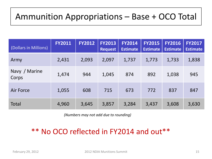#### Ammunition Appropriations – Base + OCO Total

| (Dollars in Millions)  | <b>FY2011</b> | <b>FY2012</b> | <b>FY2013</b><br><b>Request</b> | <b>FY2014</b><br><b>Estimate</b> | <b>FY2015</b><br><b>Estimate</b> | <b>FY2016</b><br><b>Estimate</b> | <b>FY2017</b><br><b>Estimate</b> |
|------------------------|---------------|---------------|---------------------------------|----------------------------------|----------------------------------|----------------------------------|----------------------------------|
| Army                   | 2,431         | 2,093         | 2,097                           | 1,737                            | 1,773                            | 1,733                            | 1,838                            |
| Navy / Marine<br>Corps | 1,474         | 944           | 1,045                           | 874                              | 892                              | 1,038                            | 945                              |
| <b>Air Force</b>       | 1,055         | 608           | 715                             | 673                              | 772                              | 837                              | 847                              |
| <b>Total</b>           | 4,960         | 3,645         | 3,857                           | 3,284                            | 3,437                            | 3,608                            | 3,630                            |

*(Numbers may not add due to rounding)*

#### \*\* No OCO reflected in FY2014 and out\*\*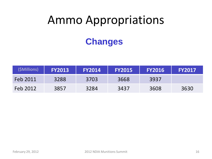# Ammo Appropriations

#### **Changes**

| (\$Millions) | <b>FY2013</b> | <b>FY2014</b> | <b>FY2015</b> | <b>FY2016</b> | <b>FY2017</b> |
|--------------|---------------|---------------|---------------|---------------|---------------|
| Feb 2011     | 3288          | 3703          | 3668          | 3937          |               |
| Feb 2012     | 3857          | 3284          | 3437          | 3608          | 3630          |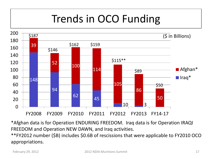#### Trends in OCO Funding



\*Afghan data is for Operation ENDURING FREEDOM. Iraq data is for Operation IRAQI FREEDOM and Operation NEW DAWN, and Iraq activities.

\*\*FY2012 number (\$B) includes \$0.6B of rescissions that were applicable to FY2010 OCO appropriations.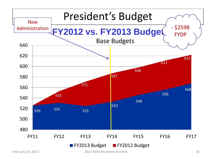

February 29, 2012 2012 12012 NDIA Munitions Summit 18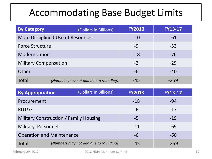#### Accommodating Base Budget Limits

| <b>By Category</b>           | (Dollars in Billions)                 | <b>FY2013</b> | <b>FY13-17</b> |
|------------------------------|---------------------------------------|---------------|----------------|
|                              | More Disciplined Use of Resources     | $-10$         | -61            |
| <b>Force Structure</b>       |                                       | $-9$          | $-53$          |
| Modernization                |                                       | $-18$         | $-76$          |
| <b>Military Compensation</b> |                                       | $-2$          | $-29$          |
| Other                        |                                       | -6            | $-40$          |
| Total                        | (Numbers may not add due to rounding) | $-45$         | $-259$         |

| <b>By Appropriation</b>                | (Dollars in Billions)                 | <b>FY2013</b> | <b>FY13-17</b> |
|----------------------------------------|---------------------------------------|---------------|----------------|
| Procurement                            |                                       | $-18$         | -94            |
| RDT&E                                  |                                       | -6            | $-17$          |
| Military Construction / Family Housing |                                       | $-5$          | $-19$          |
| <b>Military Personnel</b>              |                                       | $-11$         | -69            |
| <b>Operation and Maintenance</b>       |                                       | -6            | $-60$          |
| <b>Total</b>                           | (Numbers may not add due to rounding) | $-45$         | $-259$         |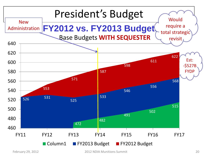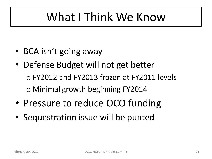### What I Think We Know

- BCA isn't going away
- Defense Budget will not get better o FY2012 and FY2013 frozen at FY2011 levels o Minimal growth beginning FY2014
- Pressure to reduce OCO funding
- Sequestration issue will be punted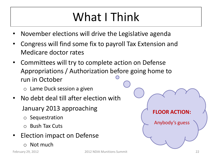### What I Think

- November elections will drive the Legislative agenda
- Congress will find some fix to payroll Tax Extension and Medicare doctor rates
- Committees will try to complete action on Defense Appropriations / Authorization before going home to run in October
	- $\circ$  Lame Duck session a given
- No debt deal till after election with January 2013 approaching
	- o Sequestration
	- o Bush Tax Cuts
- Election impact on Defense
	- o Not much

**FLOOR ACTION:**

Anybody's guess